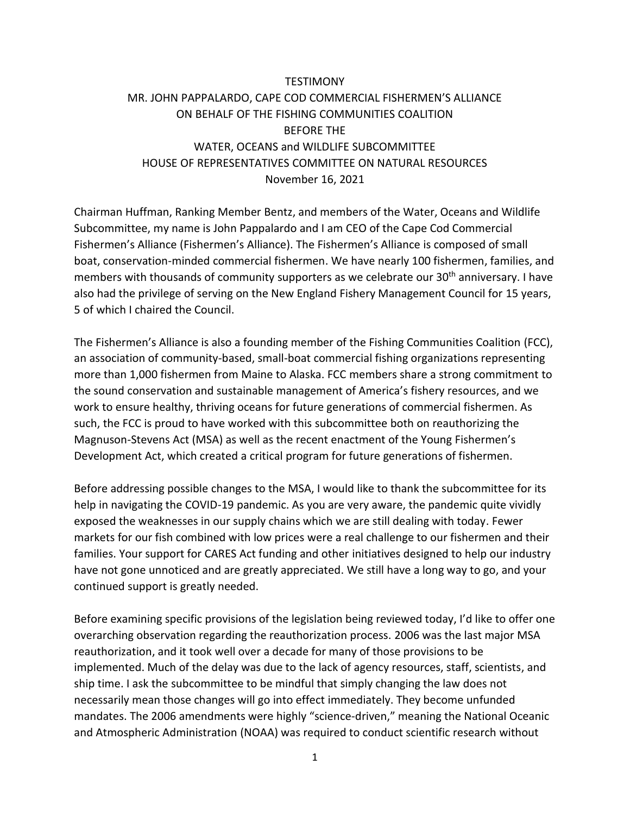# **TESTIMONY** MR. JOHN PAPPALARDO, CAPE COD COMMERCIAL FISHERMEN'S ALLIANCE ON BEHALF OF THE FISHING COMMUNITIES COALITION BEFORE THE WATER, OCEANS and WILDLIFE SUBCOMMITTEE HOUSE OF REPRESENTATIVES COMMITTEE ON NATURAL RESOURCES November 16, 2021

Chairman Huffman, Ranking Member Bentz, and members of the Water, Oceans and Wildlife Subcommittee, my name is John Pappalardo and I am CEO of the Cape Cod Commercial Fishermen's Alliance (Fishermen's Alliance). The Fishermen's Alliance is composed of small boat, conservation-minded commercial fishermen. We have nearly 100 fishermen, families, and members with thousands of community supporters as we celebrate our 30<sup>th</sup> anniversary. I have also had the privilege of serving on the New England Fishery Management Council for 15 years, 5 of which I chaired the Council.

The Fishermen's Alliance is also a founding member of the Fishing Communities Coalition (FCC), an association of community-based, small-boat commercial fishing organizations representing more than 1,000 fishermen from Maine to Alaska. FCC members share a strong commitment to the sound conservation and sustainable management of America's fishery resources, and we work to ensure healthy, thriving oceans for future generations of commercial fishermen. As such, the FCC is proud to have worked with this subcommittee both on reauthorizing the Magnuson-Stevens Act (MSA) as well as the recent enactment of the Young Fishermen's Development Act, which created a critical program for future generations of fishermen.

Before addressing possible changes to the MSA, I would like to thank the subcommittee for its help in navigating the COVID-19 pandemic. As you are very aware, the pandemic quite vividly exposed the weaknesses in our supply chains which we are still dealing with today. Fewer markets for our fish combined with low prices were a real challenge to our fishermen and their families. Your support for CARES Act funding and other initiatives designed to help our industry have not gone unnoticed and are greatly appreciated. We still have a long way to go, and your continued support is greatly needed.

Before examining specific provisions of the legislation being reviewed today, I'd like to offer one overarching observation regarding the reauthorization process. 2006 was the last major MSA reauthorization, and it took well over a decade for many of those provisions to be implemented. Much of the delay was due to the lack of agency resources, staff, scientists, and ship time. I ask the subcommittee to be mindful that simply changing the law does not necessarily mean those changes will go into effect immediately. They become unfunded mandates. The 2006 amendments were highly "science-driven," meaning the National Oceanic and Atmospheric Administration (NOAA) was required to conduct scientific research without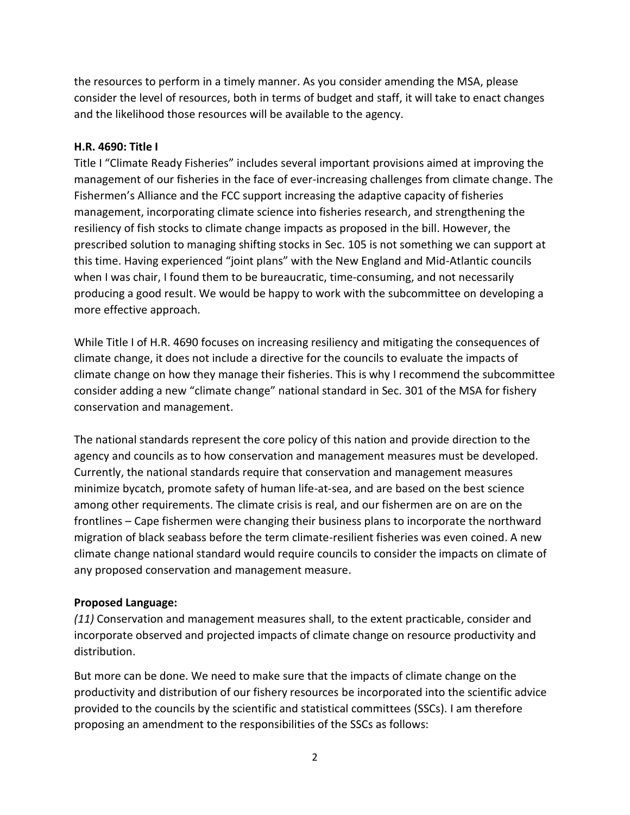the resources to perform in a timely manner. As you consider amending the MSA, please consider the level of resources, both in terms of budget and staff, it will take to enact changes and the likelihood those resources will be available to the agency.

## **H.R. 4690: Title I**

Title I "Climate Ready Fisheries" includes several important provisions aimed at improving the management of our fisheries in the face of ever-increasing challenges from climate change. The Fishermen's Alliance and the FCC support increasing the adaptive capacity of fisheries management, incorporating climate science into fisheries research, and strengthening the resiliency of fish stocks to climate change impacts as proposed in the bill. However, the prescribed solution to managing shifting stocks in Sec. 105 is not something we can support at this time. Having experienced "joint plans" with the New England and Mid-Atlantic councils when I was chair, I found them to be bureaucratic, time-consuming, and not necessarily producing a good result. We would be happy to work with the subcommittee on developing a more effective approach.

While Title I of H.R. 4690 focuses on increasing resiliency and mitigating the consequences of climate change, it does not include a directive for the councils to evaluate the impacts of climate change on how they manage their fisheries. This is why I recommend the subcommittee consider adding a new "climate change" national standard in Sec. 301 of the MSA for fishery conservation and management.

The national standards represent the core policy of this nation and provide direction to the agency and councils as to how conservation and management measures must be developed. Currently, the national standards require that conservation and management measures minimize bycatch, promote safety of human life-at-sea, and are based on the best science among other requirements. The climate crisis is real, and our fishermen are on are on the frontlines – Cape fishermen were changing their business plans to incorporate the northward migration of black seabass before the term climate-resilient fisheries was even coined. A new climate change national standard would require councils to consider the impacts on climate of any proposed conservation and management measure.

# **Proposed Language:**

*(11)* Conservation and management measures shall, to the extent practicable, consider and incorporate observed and projected impacts of climate change on resource productivity and distribution.

But more can be done. We need to make sure that the impacts of climate change on the productivity and distribution of our fishery resources be incorporated into the scientific advice provided to the councils by the scientific and statistical committees (SSCs). I am therefore proposing an amendment to the responsibilities of the SSCs as follows: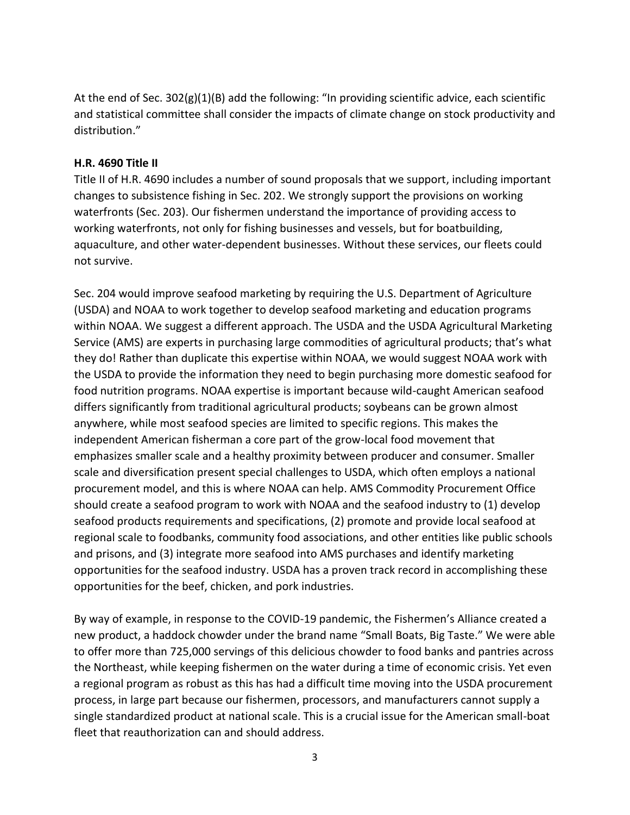At the end of Sec. 302(g)(1)(B) add the following: "In providing scientific advice, each scientific and statistical committee shall consider the impacts of climate change on stock productivity and distribution."

#### **H.R. 4690 Title II**

Title II of H.R. 4690 includes a number of sound proposals that we support, including important changes to subsistence fishing in Sec. 202. We strongly support the provisions on working waterfronts (Sec. 203). Our fishermen understand the importance of providing access to working waterfronts, not only for fishing businesses and vessels, but for boatbuilding, aquaculture, and other water-dependent businesses. Without these services, our fleets could not survive.

Sec. 204 would improve seafood marketing by requiring the U.S. Department of Agriculture (USDA) and NOAA to work together to develop seafood marketing and education programs within NOAA. We suggest a different approach. The USDA and the USDA Agricultural Marketing Service (AMS) are experts in purchasing large commodities of agricultural products; that's what they do! Rather than duplicate this expertise within NOAA, we would suggest NOAA work with the USDA to provide the information they need to begin purchasing more domestic seafood for food nutrition programs. NOAA expertise is important because wild-caught American seafood differs significantly from traditional agricultural products; soybeans can be grown almost anywhere, while most seafood species are limited to specific regions. This makes the independent American fisherman a core part of the grow-local food movement that emphasizes smaller scale and a healthy proximity between producer and consumer. Smaller scale and diversification present special challenges to USDA, which often employs a national procurement model, and this is where NOAA can help. AMS Commodity Procurement Office should create a seafood program to work with NOAA and the seafood industry to (1) develop seafood products requirements and specifications, (2) promote and provide local seafood at regional scale to foodbanks, community food associations, and other entities like public schools and prisons, and (3) integrate more seafood into AMS purchases and identify marketing opportunities for the seafood industry. USDA has a proven track record in accomplishing these opportunities for the beef, chicken, and pork industries.

By way of example, in response to the COVID-19 pandemic, the Fishermen's Alliance created a new product, a haddock chowder under the brand name "Small Boats, Big Taste." We were able to offer more than 725,000 servings of this delicious chowder to food banks and pantries across the Northeast, while keeping fishermen on the water during a time of economic crisis. Yet even a regional program as robust as this has had a difficult time moving into the USDA procurement process, in large part because our fishermen, processors, and manufacturers cannot supply a single standardized product at national scale. This is a crucial issue for the American small-boat fleet that reauthorization can and should address.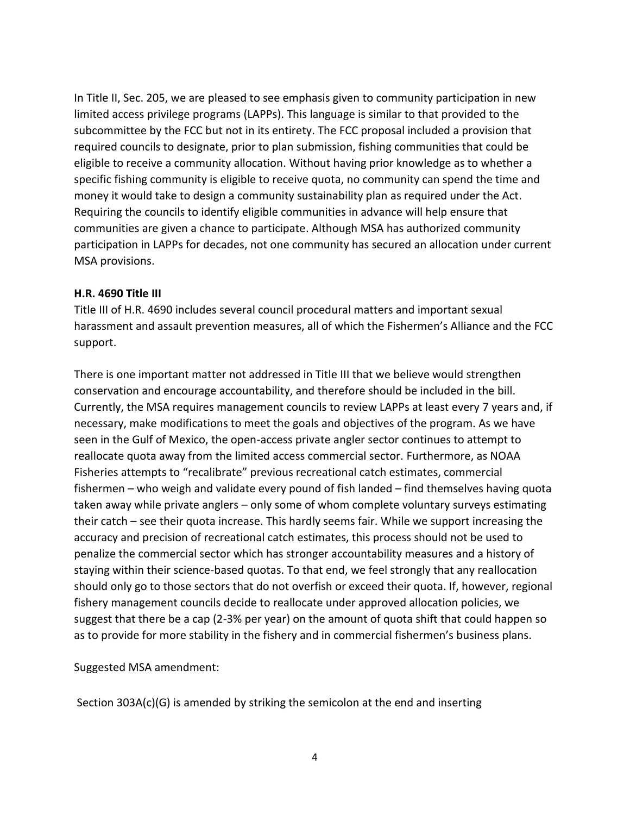In Title II, Sec. 205, we are pleased to see emphasis given to community participation in new limited access privilege programs (LAPPs). This language is similar to that provided to the subcommittee by the FCC but not in its entirety. The FCC proposal included a provision that required councils to designate, prior to plan submission, fishing communities that could be eligible to receive a community allocation. Without having prior knowledge as to whether a specific fishing community is eligible to receive quota, no community can spend the time and money it would take to design a community sustainability plan as required under the Act. Requiring the councils to identify eligible communities in advance will help ensure that communities are given a chance to participate. Although MSA has authorized community participation in LAPPs for decades, not one community has secured an allocation under current MSA provisions.

#### **H.R. 4690 Title III**

Title III of H.R. 4690 includes several council procedural matters and important sexual harassment and assault prevention measures, all of which the Fishermen's Alliance and the FCC support.

There is one important matter not addressed in Title III that we believe would strengthen conservation and encourage accountability, and therefore should be included in the bill. Currently, the MSA requires management councils to review LAPPs at least every 7 years and, if necessary, make modifications to meet the goals and objectives of the program. As we have seen in the Gulf of Mexico, the open-access private angler sector continues to attempt to reallocate quota away from the limited access commercial sector. Furthermore, as NOAA Fisheries attempts to "recalibrate" previous recreational catch estimates, commercial fishermen – who weigh and validate every pound of fish landed – find themselves having quota taken away while private anglers – only some of whom complete voluntary surveys estimating their catch – see their quota increase. This hardly seems fair. While we support increasing the accuracy and precision of recreational catch estimates, this process should not be used to penalize the commercial sector which has stronger accountability measures and a history of staying within their science-based quotas. To that end, we feel strongly that any reallocation should only go to those sectors that do not overfish or exceed their quota. If, however, regional fishery management councils decide to reallocate under approved allocation policies, we suggest that there be a cap (2-3% per year) on the amount of quota shift that could happen so as to provide for more stability in the fishery and in commercial fishermen's business plans.

Suggested MSA amendment:

Section 303A(c)(G) is amended by striking the semicolon at the end and inserting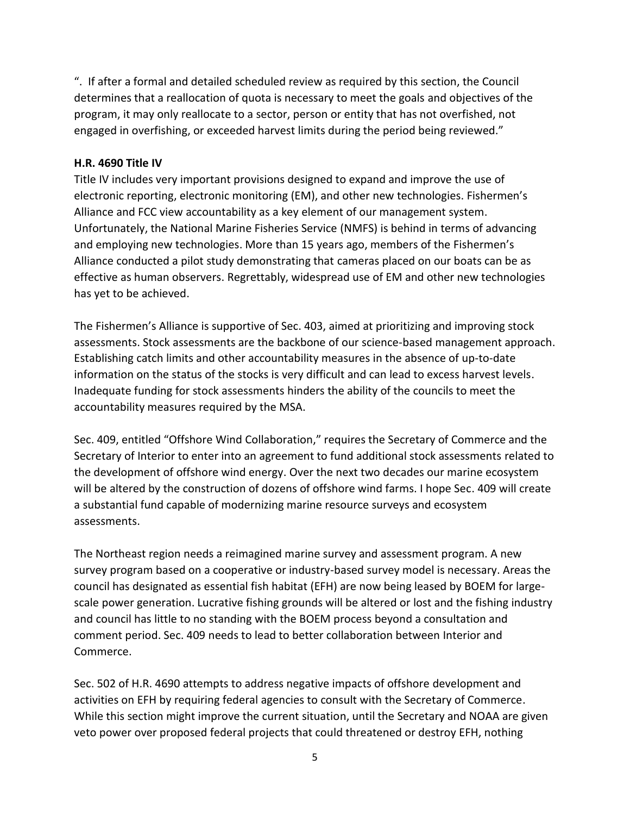". If after a formal and detailed scheduled review as required by this section, the Council determines that a reallocation of quota is necessary to meet the goals and objectives of the program, it may only reallocate to a sector, person or entity that has not overfished, not engaged in overfishing, or exceeded harvest limits during the period being reviewed."

## **H.R. 4690 Title IV**

Title IV includes very important provisions designed to expand and improve the use of electronic reporting, electronic monitoring (EM), and other new technologies. Fishermen's Alliance and FCC view accountability as a key element of our management system. Unfortunately, the National Marine Fisheries Service (NMFS) is behind in terms of advancing and employing new technologies. More than 15 years ago, members of the Fishermen's Alliance conducted a pilot study demonstrating that cameras placed on our boats can be as effective as human observers. Regrettably, widespread use of EM and other new technologies has yet to be achieved.

The Fishermen's Alliance is supportive of Sec. 403, aimed at prioritizing and improving stock assessments. Stock assessments are the backbone of our science-based management approach. Establishing catch limits and other accountability measures in the absence of up-to-date information on the status of the stocks is very difficult and can lead to excess harvest levels. Inadequate funding for stock assessments hinders the ability of the councils to meet the accountability measures required by the MSA.

Sec. 409, entitled "Offshore Wind Collaboration," requires the Secretary of Commerce and the Secretary of Interior to enter into an agreement to fund additional stock assessments related to the development of offshore wind energy. Over the next two decades our marine ecosystem will be altered by the construction of dozens of offshore wind farms. I hope Sec. 409 will create a substantial fund capable of modernizing marine resource surveys and ecosystem assessments.

The Northeast region needs a reimagined marine survey and assessment program. A new survey program based on a cooperative or industry-based survey model is necessary. Areas the council has designated as essential fish habitat (EFH) are now being leased by BOEM for largescale power generation. Lucrative fishing grounds will be altered or lost and the fishing industry and council has little to no standing with the BOEM process beyond a consultation and comment period. Sec. 409 needs to lead to better collaboration between Interior and Commerce.

Sec. 502 of H.R. 4690 attempts to address negative impacts of offshore development and activities on EFH by requiring federal agencies to consult with the Secretary of Commerce. While this section might improve the current situation, until the Secretary and NOAA are given veto power over proposed federal projects that could threatened or destroy EFH, nothing